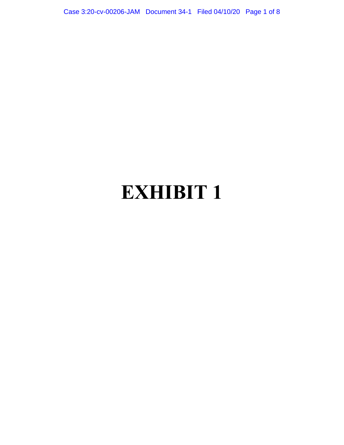Case 3:20-cv-00206-JAM Document 34-1 Filed 04/10/20 Page 1 of 8

# **EXHIBIT 1**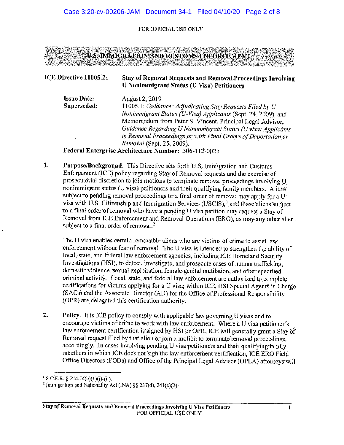## Case 3:20-cv-00206-JAM Document 34-1 Filed 04/10/20 Page 2 of 8

### FOR OFFICIAL USE ONLY

# U.S. IMMIGRATION AND CUSTOMS ENFORCEMENT

| ICE Directive $11005.2$ : | <b>Stay of Removal Requests and Removal Proceedings Involving</b><br><b>U Nonimmigrant Status (U Visa) Petitioners</b>                                                                                                                                                                                                                                  |
|---------------------------|---------------------------------------------------------------------------------------------------------------------------------------------------------------------------------------------------------------------------------------------------------------------------------------------------------------------------------------------------------|
| <b>Issue Date:</b>        | <b>August 2, 2019</b>                                                                                                                                                                                                                                                                                                                                   |
| Superseded:               | 11005.1: Guidance: Adjudicating Stay Requests Filed by U<br>Nonimmigrant Status (U-Visa) Applicants (Sept. 24, 2009), and                                                                                                                                                                                                                               |
|                           | Memorandum from Peter S. Vincent, Principal Legal Advisor,                                                                                                                                                                                                                                                                                              |
|                           | Guidance Regarding U Nonimmigrant Status (U visa) Applicants                                                                                                                                                                                                                                                                                            |
|                           | in Removal Proceedings or with Final Orders of Deportation or                                                                                                                                                                                                                                                                                           |
|                           | Removal (Sept. 25, 2009).                                                                                                                                                                                                                                                                                                                               |
|                           | $\mathbf{E}_{\mathbf{z}}$ and $\mathbf{E}_{\mathbf{z}}$ is the set of $\mathbf{z}_{\mathbf{z}}$ and $\mathbf{z}_{\mathbf{z}}$ and $\mathbf{z}_{\mathbf{z}}$ and $\mathbf{z}_{\mathbf{z}}$ and $\mathbf{z}_{\mathbf{z}}$ and $\mathbf{z}_{\mathbf{z}}$ and $\mathbf{z}_{\mathbf{z}}$ and $\mathbf{z}_{\mathbf{z}}$ and $\mathbf{z}_{\mathbf{z}}$ and $\$ |

Federal Enterprise Architecture Number: 306-112-002b

l. Purpose/Background. This Directive sets forth U.S. Immigration and Customs Enforcement (ICE) policy regarding Stay of Removal requests and the exercise of prosccutorial discretion to join motions to terminate removal proceedings involving U nonimmigrant status (U visa) petitioners and their qualifying family members. Aliens subject to pending removal proceedings or a final order of removal may apply for a U visa with U.S. Citizenship and Immigration Services (USCIS), 1 and those aliens subject to a final order of removal who have a pending U visa petition may request a Stay of Removal from ICE Enforcement and Removal Operations (ERO), as may any other alien subject to a final order of removal.<sup>2</sup>

The U visa enables certain removable aliens who are victims of crime to assist law enforcement without fear of removal. The U visa is intended to strengthen the ability of local, state, and federal law enforcement agencies, including ICE Homeland Security Investigations (HSI), to detect, investigate, and prosecute cases of human trafficking, domestic violence, sexual exploitation, female genital mutilation, and other specified criminal activity. Local, state, and federal law enforcement are authorized to complete certifications for victims applying for a U visa; within ICE, HSI Special Agents in Charge (SACs) and the Associate Director (AD) for the Office of Professional Responsibility (OPR) are delegated this certification authority.

2. Policy. It is ICE policy to comply with applicable law governing U visas and to encourage victims of crime to work with law enforcement. Where a U visa petitioner's law enforcement certification is signed by HSI or OPR, ICE will generally grant a Stay of Removal request filed by that alien or join a motion to tenninate removal proceedings, accordingly. In cases involving pending U visa petitioners and their qualifying family members in which ICE does not sign the law enforcement certification, ICE ERO Field Office Directors (FODs) and Office of the Principal Legal Advisor (OPLA) attorneys will

 $18$  C.F.R. § 214,14(c)(1)(i)-(ii).

<sup>&</sup>lt;sup>2</sup> Immigration and Nationality Act (INA) §§ 237(d), 241(c)(2).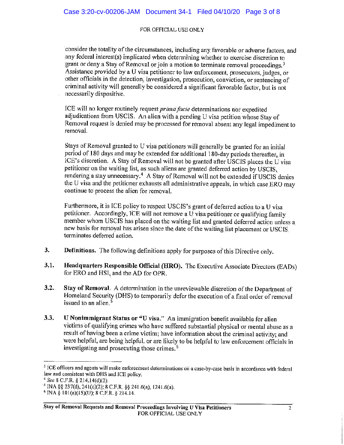# Case 3:20-cv-00206-JAM Document 34-1 Filed 04/10/20 Page 3 of 8

## FOR OFFICIAL USE ONLY

consider the totality of the circumstances, including any favorable or adverse factors, and any federal interest(s) implicated when determining whether to exercise discretion to grant or deny a Stay of Removal or join a motion to terminate removal proceedings.<sup>3</sup> Assistance provided by a U visa petitioner to law enforcement, prosecutors, judges, or other officials in the detection, investigation, prosecution, conviction, or sentencing of criminal activity will generally be considered a significant favorable factor, but is not necessarily dispositive.

JCE will no longer routinely request *primafacie* determinations nor expedited adjudications from USCIS. An alien with a pending U visa petition whose Stay of Removal request is denied may be processed for removal absent any legal impediment to removal.

Stays of Removal granted to U visa petitioners will generally be granted fox an initial period of 180 days and may be extended for additional 180~day periods thereafter, in lCE's discretion. A Stay of Removal will not be granted after USC IS places the U visa petitioner on the waiting list, as such aliens are granted deferred action by USCIS, rendering a stay unnecessary.<sup>4</sup> A Stay of Removal will not be extended if USCIS denies the U visa and the petitioner exhausts all administrative appeals, in which case ERO may continue to process the alien for removal.

Furthermore, it is ICE policy to respect USCfS's grant of deferred action to a U visa petitioner. Accordingly, ICE will not remove a U visa petitioner or qualifying family member whom USCIS has placed on the waiting list and granted deferred action unless a new basis for removal has arisen since the, date of the waiting list placement or USCIS terminates deferred action.

- 3. Definitions. The following definitions apply for purposes of this Directive only.
- 3.1. Headquarters Responsible Official (HRO). The Executive Associate Directors (EADs) for ERO and HSI, and the AD for OPR.
- 3.2. Stay of Removal. A determination in the unreviewable discretion of the Department of Homeland Security (OHS) to temporarily defer the execution of a final order of removal issued to an alien.<sup>5</sup>
- 3.3. U Nonimmigrant Status or "U visa." An immigration benefit available for alien victims of qualifying crimes who have suffered substantial physical or mental abuse as a result of having been a crime victim; have information about the criminal activity; and were helpful, are being helpful, or are likely to be helpful to law enforcement officials in investigating and prosecuting those crimes. <sup>6</sup>

<sup>&</sup>lt;sup>3</sup> ICE officers and agents will make enforcement determinations on a case-by-case basis in accordance with federal law and consistent with OHS and ICE policy.

<sup>4</sup>*See* 8 C.F.R. § 214.14(d)(2).

 $^5$  INA §§ 237(d), 241(c)(2); 8 C.F.R. §§ 241.6(a), 1241.6(a).

 $6$  INA § 101(a)(15)(U); 8 C.F.R. § 214.14.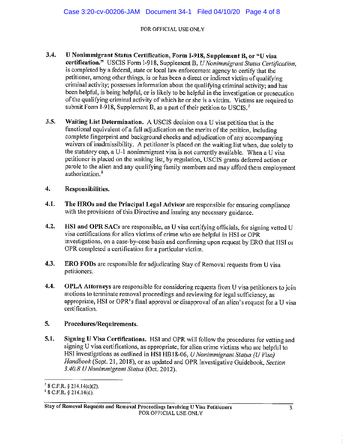- 3.4. U Nonimmigrant Status Certification, Form I-918, Supplement B, or "U visa. certification." USCJS Fonn 1-918, Supplement B, *U Nonimmigrant Status Certification,*  is completed by a federal, state or local law enforcement agency to certify that the petitioner, among other things, is or has been a direct or indirect victim of qualifying criminal activity; possesses information about the qualifying criminal activity; and has been helpful, is being helpful, or is likely to be helpful in the investigation or prosecution of the qualifying criminal activity of which he or she is a victim. Victims are required to submit Form I-918, Supplement B, as a part of their petition to USCIS.<sup>7</sup>
- 3.5. Waiting List Determination. A USCIS decision on a U visa petition that is the functional equivalent of a full adjudication on the merits of the petition, including complete fingerprint and background checks and adjudication of any accompanying waivers of inadmissibility. A petitioner is placed on the waiting list when, due solely to the statutory cap, a U-1 nonimmigrant visa is not currently available. When a U visa petitioner is placed on the waiting list, by regulation, USCIS grants deferred action or parole to the alien and any qualifying family members and may afford them employment authorization. <sup>8</sup>

# 4. Responsibilities.

- 4.1. The HROs and the Principal Legal Advisor are responsible for ensuring compliance with the provisions of this Directive and issuing any necessary guidance.
- 4.2. HSI and OPR SACs are responsible, as U visa certifying officials, for signing vetted U visa certifications for alien victims of crime who are helpful in HSI or OPR investigations, on a case-by-case basis and confirming upon request by ERO that HSI or OPR completed a certification for a particular victim.
- 4.3. ERO FODs are responsible for adjudicating Stay of Removal requests from U visa petitioners.
- 4.4. OPLA Attorneys are responsible for considering requests from U visa petitioners to join motions to terminate removal proceedings and reviewing for legal sufficiency, as appropriate, HSI or OPR's final approval or disapproval of an alien's request for a U visa certification.

# 5. Procedures/Requirements.

5.1. Signing U Visa Certifications. HSI and OPR will follow the procedures for vetting and signing U visa certifications, as appropriate, for alien crime victims who are helpful to HSI investigations as outlined in HSI HB18-06, U *Nonimmigrant Status (U Visa) Handbook(Sept.* 21, 2018), or as updated and OPR Investigative Guidebook, *Section 3.40.8 U Nonimmigrant Status* (Oct. 2012).

 $78$  C.F.R. § 214.14(e)(2).

<sup>8</sup>8 C.F.R. § 214.14(d).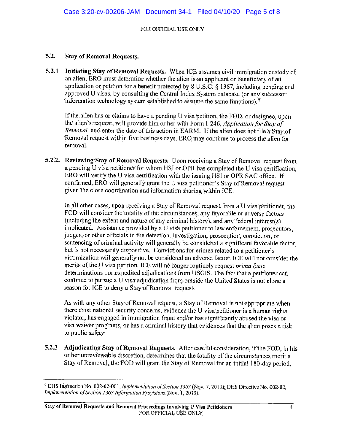## 5.2. Stay of Removal Requests.

5.2.1 Initiating Stay of Removal Requests. When ICE assumes civil immigration custody of an alien, ERO must determine whether the alien is an applicant or beneficiary of an application or petition for a benefit protected by 8 U.S.C. § 1367, including pending and approved U visas, by consulting the Central Index System database (or any successor information technology system established to assume the same functions).<sup>9</sup>

If the alien has or claims to have a pending U visa petition, the FOD, or designee, upon the alien's request, will provide him or her with Form I-246, *Application for Stay of Removal*, and enter the date of this action in EARM. If the alien does not file a Stay of Removal request within five business days, ERO may continue to process the alien for removal.

5.2.2. Reviewing Stay of Removal Requests. Upon receiving a Stay of Removal request from a pending U visa petitioner for whom HSI or OPR has completed the U visa certification, ERO will verify the U visa certification with the issuing HSI or OPR SAC office. If confinned, ERO will generally grant the U visa petitioner's Stay of Removal request given the close coordination and information sharing within ICE.

Jn all other cases, upon receiving a Stay of Removal request from a U visa petitioner, the FOD will consider the totality of the circumstances, any favorable or adverse factors (including the extent and nature of any criminal history), and any federal interest(s) implicated. Assistance provided by a U visa petitioner to law enforcement, prosecutors, judges, or other officials in the detection, investigation, prosecution, conviction, or sentencing of criminal activity will generally be considered a significant favorable factor, but is not necessarily dispositive. Convictions for crimes related to a petitioner's victimization will generally not be considered an adverse factor. ICE will not consider the merits of the U visa petition. ICE will no longer routinely request *primafacie*  determinations nor expedited adjudications from USCIS. The fact that a petitioner can continue to pursue a U visa adjudication from outside the United States is not alone a reason for ICE to deny a Stay of Removal request.

As with any other Stay of Removal request, a Stay of Removal is not appropriate when there exist national security concerns, evidence the U visa petitioner is a human rights violator, has engaged in immigration fraud and/or has significantly abused the visa or visa waiver programs, or has a criminal history that evidences that the alien poses a risk to public safety.

5.2.3 Adjudicating Stay of Removal Requests. After careful consideration, if the FOD, in his or her unreviewable discretion, determines that the totality of the circumstances merit a Stay of Removal, the FOD will grant the Stay of Removal for an initial 180-day period,

<sup>&</sup>lt;sup>9</sup> DHS Instruction No. 002-02-001, *Implementation of Section 1367* (Nov. 7, 2013); DHS Directive No. 002-02, *Implementation of Section 1367 Information Provisions* (Nov. I, 2013).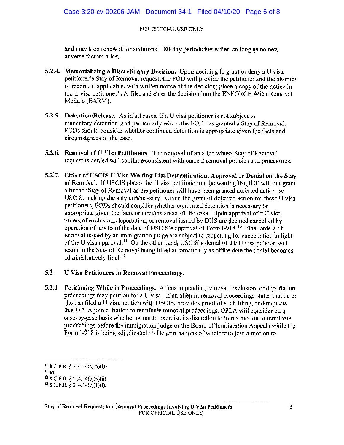Case 3:20-cv-00206-JAM Document 34-1 Filed 04/10/20 Page 6 of 8

## FOR OFFICIAL USE ONLY

and may then renew it for additional 180-day periods thereafter, so long as no new adverse factors arise.

- 5.2.4. Memorializing a Discretionary Decision. Upon deciding to grant or deny a U visa petitioner's Stay of Removal request, the POD will provide the petitioner and the attorney of record, if applicable, with written notice of the decision; place a copy of the notice in the U visa petitioner's A-file; and enter the decision into the ENFORCE Alien Removal Module (EARM).
- 5.2.5. Detention/Release. As in all cases, ifa U visa petitioner is not subject to mandatory detention, and particularly where the POD has granted a Stay of Removal, FODs should consider whether continued detention is appropriate given the facts and circumstances of the case.
- 5.2.6. Removal ofU Visa Petitioners. The removal ofan alien whose Stay of Removal request is denied will continue consistent with current removal policies and procedures.
- 5.2.7. Effect ofUSCIS U Visa Waiting List Determination, Approval or Denial on the Stay of Removal. JfUSClS places the U visa petitioner on the waiting list, ICE will not grant a further Stay of Removal as the petitioner will have been granted deferred action by USCIS, making the stay unnecessary. Given the grant of deferred action for these U visa petitioners, FODs should consider whether continued detention is necessary or appropriate given the facts or circumstances of the case. Upon approval of a U visa, orders of exclusion, deportation, or removal issued by DHS are deemed cancelled by operation of law as of the date of USCIS's approval of Form 1-918. <sup>1</sup> ° Final orders of removal issued by an immigration judge are subject to reopening for cancellation in light of the U visa approval.<sup>11</sup> On the other hand, USCIS's denial of the U visa petition will result in the Stay of Removal being lifted automatically as of the date the denial becomes administratively final.<sup>12</sup>

# 5.3 U Visa Petitioners in Removal Proceedings.

5.3.1 Petitioning While in Proceedings. Aliens in pending removal, exclusion, or deportation proceedings may petition for a U visa. If an alien in removal proceedings states that he or she has filed a U visa petition with USClS, provides proof of such filing, and requests that OPLAjoin a motion to terminate removal proceedings, OPLA will consider on a case-by-case basis whether or not to exercise its discretion to join a motion to terminate proceedings before the immigration judge or the Board of Immigration Appeals while the Form I-918 is being adjudicated.<sup>13</sup> Determinations of whether to join a motion to

<sup>10</sup>8 C.F.R. § 214.14(c)(S)(i).

 $\mathbf{I}^{\mathrm{T}}$  Id.

 $12$  8 C.F.R. § 214.14(c)(5)(ii).

 $^{13}$  8 C.F.R. § 214.14(c)(1)(i).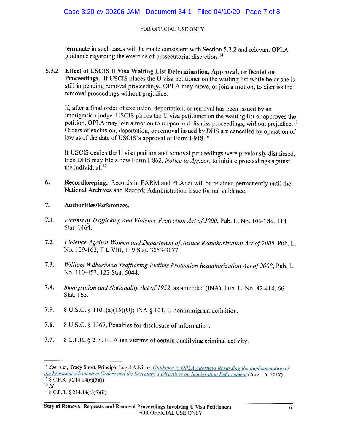terminate in such cases will be made consistent with Section 5.2.2 and relevant OPLA guidance regarding the exercise of prosecutorial discretion. <sup>14</sup>

**5.3.2 Effect of USCIS U Visa Waiting List Determination, Approval, or Denial on**  Proceedings. If USCIS places the U visa petitioner on the waiting list while he or she is still in pending removal proceedings, OPLA may move, or join a motion, to dismiss the removal proceedings without prejudice.

If, after a final order of exclusion, deportation, or removal has been issued by an immigration judge, USCIS places the U visa petitioner on the waiting list or approves the petition, OPLA may join a motion to reopen and dismiss proceedings, without prejudice. 15 Orders of exclusion, deportation, or removal issued by DHS are cancelled by operation of law as of the date of USCIS's approval of Form I-918.<sup>16</sup>

If USCIS denies the U visa petition and removal proceedings were previously dismissed, then OHS may file a new Form 1-862, *Notice to Appear,* to initiate proceedings against the individual.<sup>17</sup>

**6. Recordkeeping.** Records in EARM and PLAnet will be retained permanently until the National Archives and Records Administration issue formal guidance.

# 7. **Authorities/References .**

- **7.1.** *Victims of Trafficking and Violence Protection Act of 2000,* Pub. L. No. 106-386 , 114 Stat. 1464.
- **7.2.** *Violence Against Women and Department of Justice Reauthorization Act of 2005,* Pub. L. No. 109-162, Tit. VIII, 119 Stat. 3053-3077.
- **7.3.** *William Wilberforce Trafficking Victims Protection Reauthorization Act of 2008,* Pub. L. No. 110-457, 122 Stat. 5044.
- **7.4.** *Immigration and Nationality Act of 1952,* as amended (INA), Pub. L. No. 82-414, 66 Stat. 163.
- **7.5.** 8 U.S.C. § 1101(a)(15)(U); **INA** § 101, U nonimmigrant definition.
- 7.6. 8 U.S.C. § 1367, Penalties for disclosure of information.
- 7.7. 8 C.F.R. § 214.14, Alien victims of certain qualifying criminal activity.

<sup>&</sup>lt;sup>14</sup> See, e.g., Tracy Short, Principal Legal Advisor, *Guidance to OPLA Attorneys Regarding the Implementation of the President's Executive Orders and the Secretary's Directives on Immigration Enforcement* (Aug. 15, 2017).<br><sup>15</sup> 8 C.F.R. § 214.14(c)(5)(i).<br><sup>16</sup> *Id* 

<sup>17</sup>8 C.F.R. § 2l4. 14(c)(5)(ii).